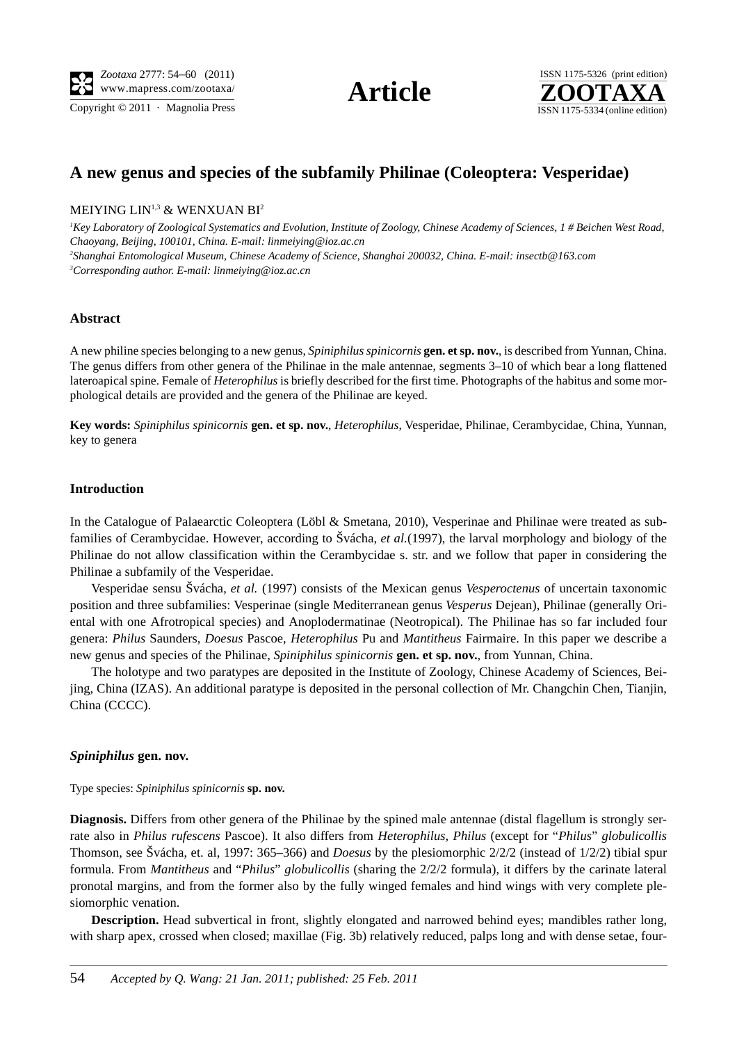Copyright  $\odot$  2011 · Magnolia Press ISSN 1175-5334 (online edition)



# **A new genus and species of the subfamily Philinae (Coleoptera: Vesperidae)**

# MEIYING LIN<sup>1,3</sup> & WENXUAN BI<sup>2</sup>

 *Key Laboratory of Zoological Systematics and Evolution, Institute of Zoology, Chinese Academy of Sciences, 1 # Beichen West Road, Chaoyang, Beijing, 100101, China. E-mail: linmeiying@ioz.ac.cn Shanghai Entomological Museum, Chinese Academy of Science, Shanghai 200032, China. E-mail: insectb@163.com Corresponding author. E-mail: linmeiying@ioz.ac.cn*

### **Abstract**

A new philine species belonging to a new genus, *Spiniphilus spinicornis* **gen. et sp. nov.**, is described from Yunnan, China. The genus differs from other genera of the Philinae in the male antennae, segments 3–10 of which bear a long flattened lateroapical spine. Female of *Heterophilus* is briefly described for the first time. Photographs of the habitus and some morphological details are provided and the genera of the Philinae are keyed.

**Key words:** *Spiniphilus spinicornis* **gen. et sp. nov.**, *Heterophilus*, Vesperidae, Philinae, Cerambycidae, China, Yunnan, key to genera

#### **Introduction**

In the Catalogue of Palaearctic Coleoptera (Löbl & Smetana, 2010), Vesperinae and Philinae were treated as subfamilies of Cerambycidae. However, according to Švácha, *et al.*(1997), the larval morphology and biology of the Philinae do not allow classification within the Cerambycidae s. str. and we follow that paper in considering the Philinae a subfamily of the Vesperidae.

Vesperidae sensu Švácha, *et al.* (1997) consists of the Mexican genus *Vesperoctenus* of uncertain taxonomic position and three subfamilies: Vesperinae (single Mediterranean genus *Vesperus* Dejean), Philinae (generally Oriental with one Afrotropical species) and Anoplodermatinae (Neotropical). The Philinae has so far included four genera: *Philus* Saunders, *Doesus* Pascoe, *Heterophilus* Pu and *Mantitheus* Fairmaire. In this paper we describe a new genus and species of the Philinae, *Spiniphilus spinicornis* **gen. et sp. nov.**, from Yunnan, China.

The holotype and two paratypes are deposited in the Institute of Zoology, Chinese Academy of Sciences, Beijing, China (IZAS). An additional paratype is deposited in the personal collection of Mr. Changchin Chen, Tianjin, China (CCCC).

#### *Spiniphilus* **gen. nov.**

Type species: *Spiniphilus spinicornis* **sp. nov.**

**Diagnosis.** Differs from other genera of the Philinae by the spined male antennae (distal flagellum is strongly serrate also in *Philus rufescens* Pascoe). It also differs from *Heterophilus*, *Philus* (except for "*Philus*" *globulicollis* Thomson, see Švácha, et. al, 1997: 365–366) and *Doesus* by the plesiomorphic 2/2/2 (instead of 1/2/2) tibial spur formula. From *Mantitheus* and "*Philus*" *globulicollis* (sharing the 2/2/2 formula), it differs by the carinate lateral pronotal margins, and from the former also by the fully winged females and hind wings with very complete plesiomorphic venation.

**Description.** Head subvertical in front, slightly elongated and narrowed behind eyes; mandibles rather long, with sharp apex, crossed when closed; maxillae (Fig. 3b) relatively reduced, palps long and with dense setae, four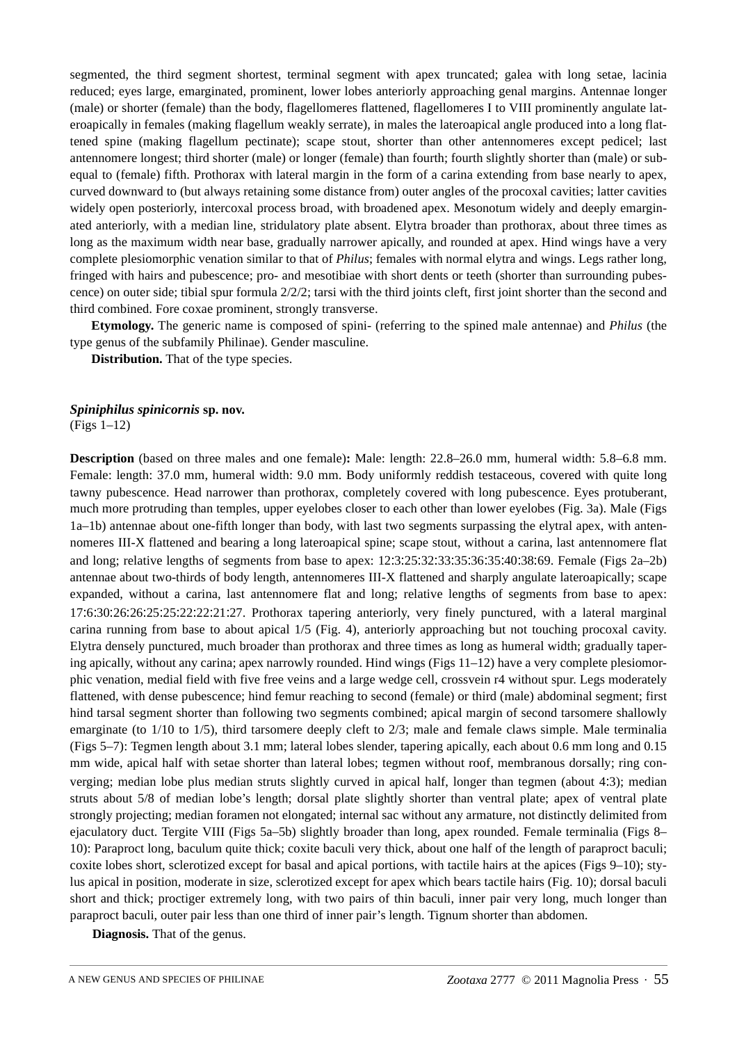segmented, the third segment shortest, terminal segment with apex truncated; galea with long setae, lacinia reduced; eyes large, emarginated, prominent, lower lobes anteriorly approaching genal margins. Antennae longer (male) or shorter (female) than the body, flagellomeres flattened, flagellomeres I to VIII prominently angulate lateroapically in females (making flagellum weakly serrate), in males the lateroapical angle produced into a long flattened spine (making flagellum pectinate); scape stout, shorter than other antennomeres except pedicel; last antennomere longest; third shorter (male) or longer (female) than fourth; fourth slightly shorter than (male) or subequal to (female) fifth. Prothorax with lateral margin in the form of a carina extending from base nearly to apex, curved downward to (but always retaining some distance from) outer angles of the procoxal cavities; latter cavities widely open posteriorly, intercoxal process broad, with broadened apex. Mesonotum widely and deeply emarginated anteriorly, with a median line, stridulatory plate absent. Elytra broader than prothorax, about three times as long as the maximum width near base, gradually narrower apically, and rounded at apex. Hind wings have a very complete plesiomorphic venation similar to that of *Philus*; females with normal elytra and wings. Legs rather long, fringed with hairs and pubescence; pro- and mesotibiae with short dents or teeth (shorter than surrounding pubescence) on outer side; tibial spur formula 2/2/2; tarsi with the third joints cleft, first joint shorter than the second and third combined. Fore coxae prominent, strongly transverse.

**Etymology.** The generic name is composed of spini- (referring to the spined male antennae) and *Philus* (the type genus of the subfamily Philinae). Gender masculine.

**Distribution.** That of the type species.

#### *Spiniphilus spinicornis* **sp. nov.**

(Figs 1–12)

**Description** (based on three males and one female)**:** Male: length: 22.8–26.0 mm, humeral width: 5.8–6.8 mm. Female: length: 37.0 mm, humeral width: 9.0 mm. Body uniformly reddish testaceous, covered with quite long tawny pubescence. Head narrower than prothorax, completely covered with long pubescence. Eyes protuberant, much more protruding than temples, upper eyelobes closer to each other than lower eyelobes (Fig. 3a). Male (Figs 1a–1b) antennae about one-fifth longer than body, with last two segments surpassing the elytral apex, with antennomeres III-X flattened and bearing a long lateroapical spine; scape stout, without a carina, last antennomere flat and long; relative lengths of segments from base to apex: 123253233353635403869. Female (Figs 2a–2b) antennae about two-thirds of body length, antennomeres III-X flattened and sharply angulate lateroapically; scape expanded, without a carina, last antennomere flat and long; relative lengths of segments from base to apex: <sup>17</sup>6302626252522222127. Prothorax tapering anteriorly, very finely punctured, with a lateral marginal carina running from base to about apical 1/5 (Fig. 4), anteriorly approaching but not touching procoxal cavity. Elytra densely punctured, much broader than prothorax and three times as long as humeral width; gradually tapering apically, without any carina; apex narrowly rounded. Hind wings (Figs 11–12) have a very complete plesiomorphic venation, medial field with five free veins and a large wedge cell, crossvein r4 without spur. Legs moderately flattened, with dense pubescence; hind femur reaching to second (female) or third (male) abdominal segment; first hind tarsal segment shorter than following two segments combined; apical margin of second tarsomere shallowly emarginate (to 1/10 to 1/5), third tarsomere deeply cleft to 2/3; male and female claws simple. Male terminalia (Figs 5–7): Tegmen length about 3.1 mm; lateral lobes slender, tapering apically, each about 0.6 mm long and 0.15 mm wide, apical half with setae shorter than lateral lobes; tegmen without roof, membranous dorsally; ring converging; median lobe plus median struts slightly curved in apical half, longer than tegmen (about 43); median struts about 5/8 of median lobe's length; dorsal plate slightly shorter than ventral plate; apex of ventral plate strongly projecting; median foramen not elongated; internal sac without any armature, not distinctly delimited from ejaculatory duct. Tergite VIII (Figs 5a–5b) slightly broader than long, apex rounded. Female terminalia (Figs 8– 10): Paraproct long, baculum quite thick; coxite baculi very thick, about one half of the length of paraproct baculi; coxite lobes short, sclerotized except for basal and apical portions, with tactile hairs at the apices (Figs 9–10); stylus apical in position, moderate in size, sclerotized except for apex which bears tactile hairs (Fig. 10); dorsal baculi short and thick; proctiger extremely long, with two pairs of thin baculi, inner pair very long, much longer than paraproct baculi, outer pair less than one third of inner pair's length. Tignum shorter than abdomen.

**Diagnosis.** That of the genus.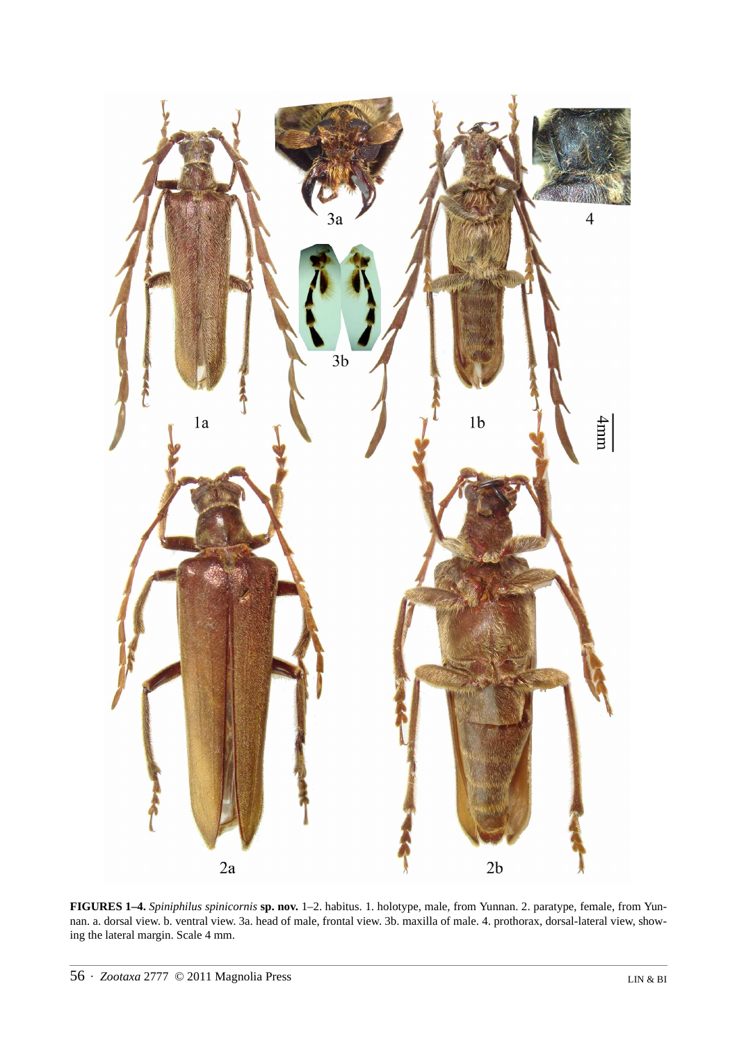

**FIGURES 1–4.** *Spiniphilus spinicornis* **sp. nov.** 1–2. habitus. 1. holotype, male, from Yunnan. 2. paratype, female, from Yunnan. a. dorsal view. b. ventral view. 3a. head of male, frontal view. 3b. maxilla of male. 4. prothorax, dorsal-lateral view, showing the lateral margin. Scale 4 mm.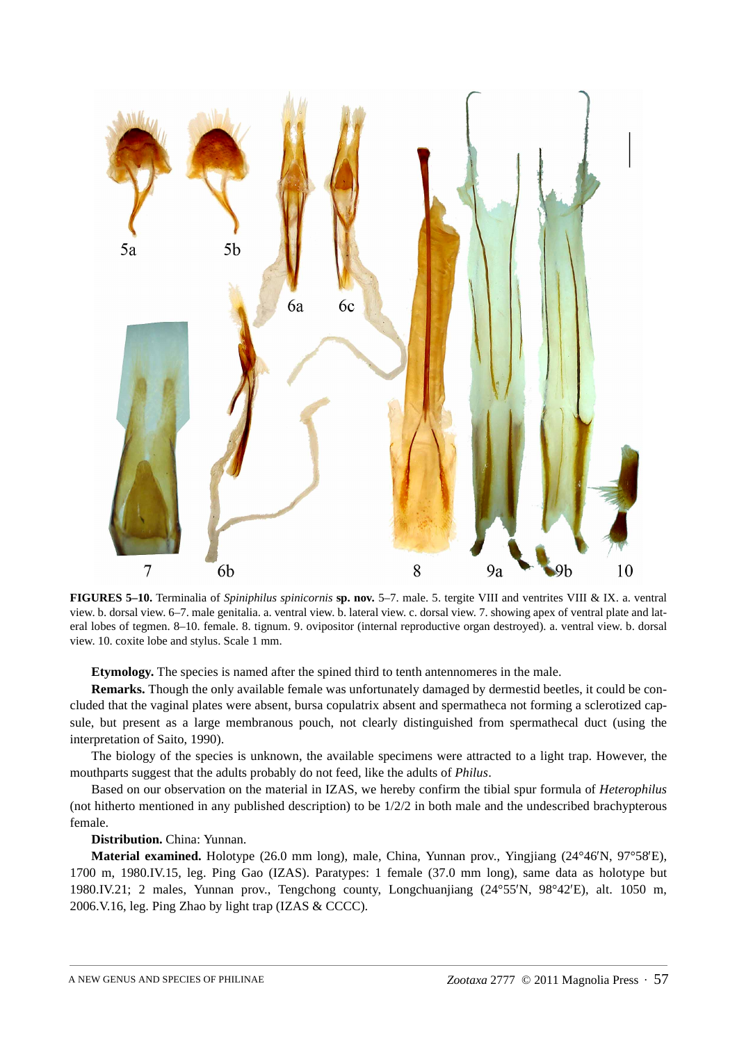

**FIGURES 5–10.** Terminalia of *Spiniphilus spinicornis* **sp. nov.** 5–7. male. 5. tergite VIII and ventrites VIII & IX. a. ventral view. b. dorsal view. 6–7. male genitalia. a. ventral view. b. lateral view. c. dorsal view. 7. showing apex of ventral plate and lateral lobes of tegmen. 8–10. female. 8. tignum. 9. ovipositor (internal reproductive organ destroyed). a. ventral view. b. dorsal view. 10. coxite lobe and stylus. Scale 1 mm.

**Etymology.** The species is named after the spined third to tenth antennomeres in the male.

**Remarks.** Though the only available female was unfortunately damaged by dermestid beetles, it could be concluded that the vaginal plates were absent, bursa copulatrix absent and spermatheca not forming a sclerotized capsule, but present as a large membranous pouch, not clearly distinguished from spermathecal duct (using the interpretation of Saito, 1990).

The biology of the species is unknown, the available specimens were attracted to a light trap. However, the mouthparts suggest that the adults probably do not feed, like the adults of *Philus*.

Based on our observation on the material in IZAS, we hereby confirm the tibial spur formula of *Heterophilus* (not hitherto mentioned in any published description) to be 1/2/2 in both male and the undescribed brachypterous female.

**Distribution.** China: Yunnan.

**Material examined.** Holotype (26.0 mm long), male, China, Yunnan prov., Yingjiang (24°46'N, 97°58'E),  $'N$ , 97°58′E),<br>holotype but<br>alt  $1050$  m 1700 m, 1980.IV.15, leg. Ping Gao (IZAS). Paratypes: 1 female (37.0 mm long), same data as holotype but 1980.IV.21; 2 males, Yunnan prov., Tengchong county, Longchuanjiang (24°55′N, 98°42′E), alt. 1050 m, 2006.V.16, leg. Ping Zhao by light trap (IZAS & CCCC). 2006.V.16, leg. Ping Zhao by light trap (IZAS & CCCC).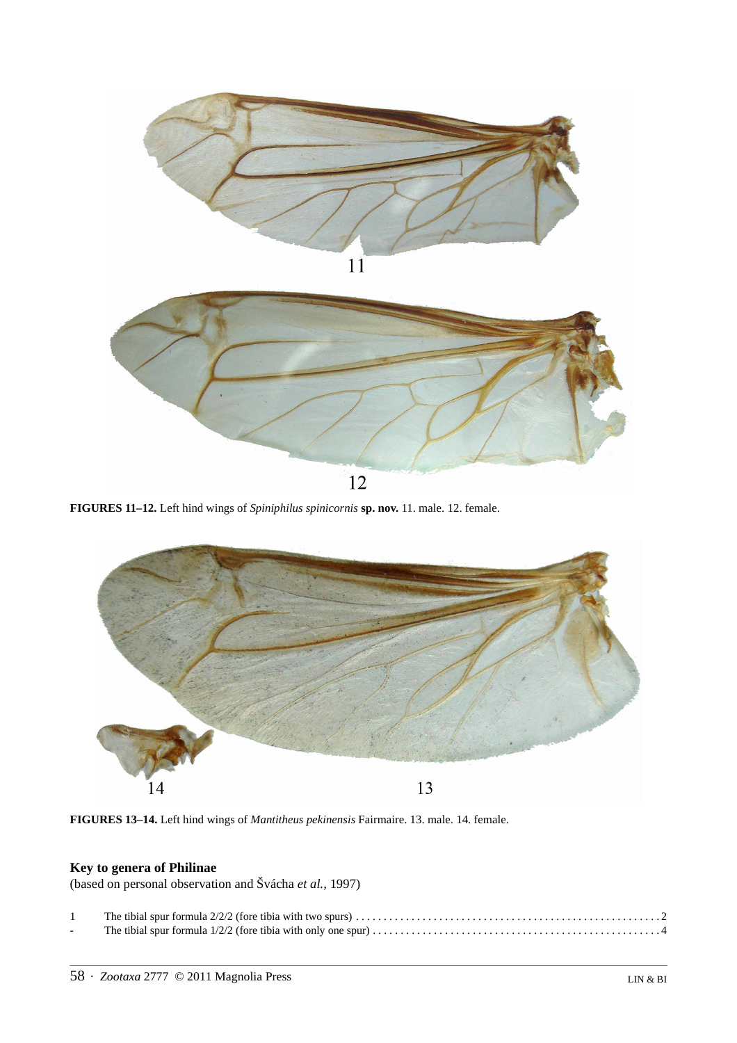

**FIGURES 11–12.** Left hind wings of *Spiniphilus spinicornis* **sp. nov.** 11. male. 12. female.



**FIGURES 13–14.** Left hind wings of *Mantitheus pekinensis* Fairmaire. 13. male. 14. female.

# **Key to genera of Philinae**

(based on personal observation and Švácha *et al.,* 1997)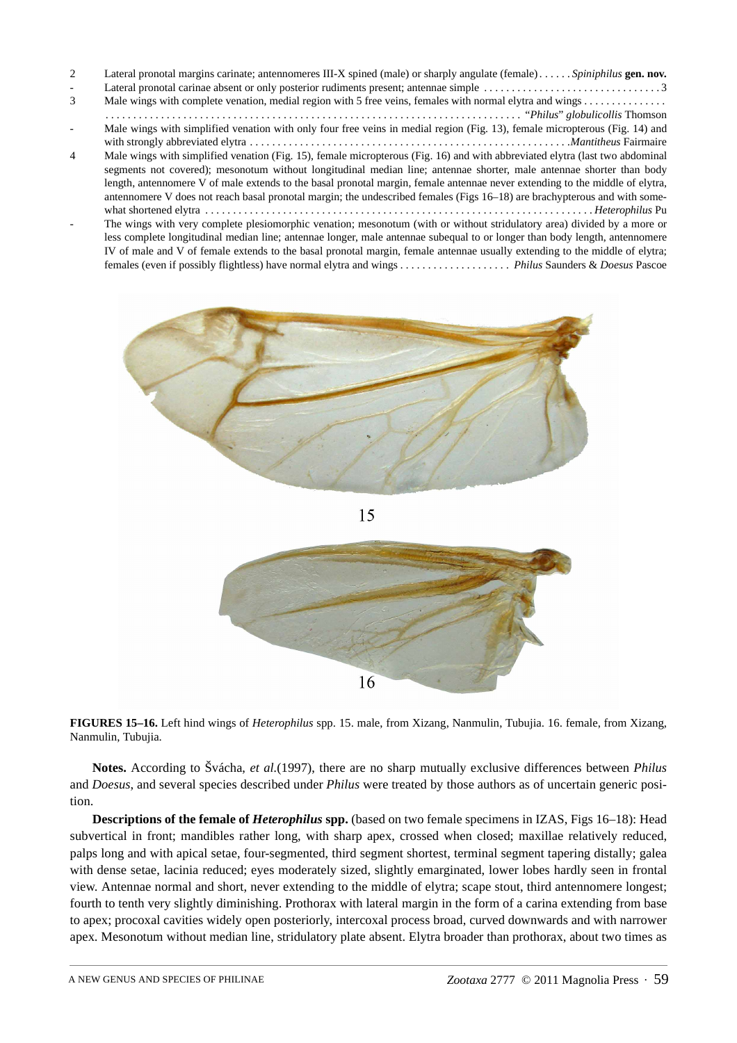| $\mathcal{L}$  | Lateral pronotal margins carinate; antennomeres III-X spined (male) or sharply angulate (female)Spiniphilus gen. nov.        |
|----------------|------------------------------------------------------------------------------------------------------------------------------|
|                |                                                                                                                              |
| 3              |                                                                                                                              |
|                |                                                                                                                              |
|                | Male wings with simplified venation with only four free veins in medial region (Fig. 13), female micropterous (Fig. 14) and  |
|                |                                                                                                                              |
| $\overline{4}$ | Male wings with simplified venation (Fig. 15), female micropterous (Fig. 16) and with abbreviated elytra (last two abdominal |
|                | segments not covered); mesonotum without longitudinal median line; antennae shorter, male antennae shorter than body         |
|                | length, antennomere V of male extends to the basal pronotal margin, female antennae never extending to the middle of elytra, |
|                | antennomere V does not reach basal pronotal margin; the undescribed females (Figs 16–18) are brachypterous and with some-    |
|                |                                                                                                                              |
|                | The wings with very complete plesiomorphic venation; mesonotum (with or without stridulatory area) divided by a more or      |
|                | less complete longitudinal median line; antennae longer, male antennae subequal to or longer than body length, antennomere   |
|                | IV of male and V of female extends to the basal pronotal margin, female antennae usually extending to the middle of elytra;  |
|                |                                                                                                                              |



**FIGURES 15–16.** Left hind wings of *Heterophilus* spp. 15. male, from Xizang, Nanmulin, Tubujia. 16. female, from Xizang, Nanmulin, Tubujia.

**Notes.** According to Švácha, *et al.*(1997), there are no sharp mutually exclusive differences between *Philus* and *Doesus*, and several species described under *Philus* were treated by those authors as of uncertain generic position.

**Descriptions of the female of** *Heterophilus* **spp.** (based on two female specimens in IZAS, Figs 16–18): Head subvertical in front; mandibles rather long, with sharp apex, crossed when closed; maxillae relatively reduced, palps long and with apical setae, four-segmented, third segment shortest, terminal segment tapering distally; galea with dense setae, lacinia reduced; eyes moderately sized, slightly emarginated, lower lobes hardly seen in frontal view. Antennae normal and short, never extending to the middle of elytra; scape stout, third antennomere longest; fourth to tenth very slightly diminishing. Prothorax with lateral margin in the form of a carina extending from base to apex; procoxal cavities widely open posteriorly, intercoxal process broad, curved downwards and with narrower apex. Mesonotum without median line, stridulatory plate absent. Elytra broader than prothorax, about two times as